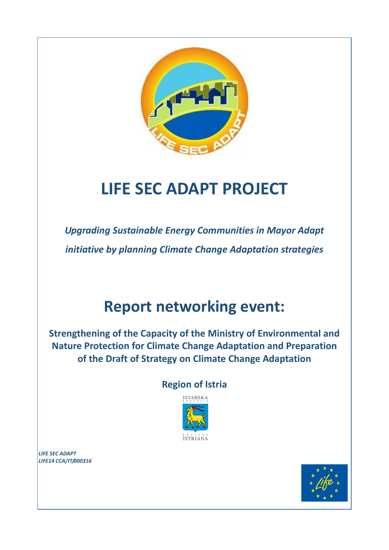

# **LIFE SEC ADAPT PROJECT**

*Upgrading Sustainable Energy Communities in Mayor Adapt initiative by planning Climate Change Adaptation strategies*

## **Report networking event:**

**Strengthening of the Capacity of the Ministry of Environmental and Nature Protection for Climate Change Adaptation and Preparation of the Draft of Strategy on Climate Change Adaptation**

## **Region of Istria**



*LIFE SEC ADAPT LIFE14 CCA/IT/000316*

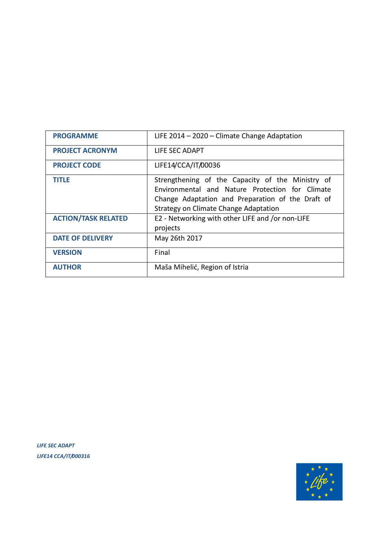| <b>PROGRAMME</b>           | LIFE $2014 - 2020 -$ Climate Change Adaptation                                                                                                                                                    |
|----------------------------|---------------------------------------------------------------------------------------------------------------------------------------------------------------------------------------------------|
| <b>PROJECT ACRONYM</b>     | LIFE SEC ADAPT                                                                                                                                                                                    |
| <b>PROJECT CODE</b>        | LIFE14/CCA/IT/00036                                                                                                                                                                               |
| <b>TITLE</b>               | Strengthening of the Capacity of the Ministry of<br>Environmental and Nature Protection for Climate<br>Change Adaptation and Preparation of the Draft of<br>Strategy on Climate Change Adaptation |
| <b>ACTION/TASK RELATED</b> | E2 - Networking with other LIFE and /or non-LIFE<br>projects                                                                                                                                      |
| <b>DATE OF DELIVERY</b>    | May 26th 2017                                                                                                                                                                                     |
| <b>VERSION</b>             | Final                                                                                                                                                                                             |
| <b>AUTHOR</b>              | Maša Mihelić, Region of Istria                                                                                                                                                                    |

*LIFE SEC ADAPT LIFE14 CCA/IT/000316*

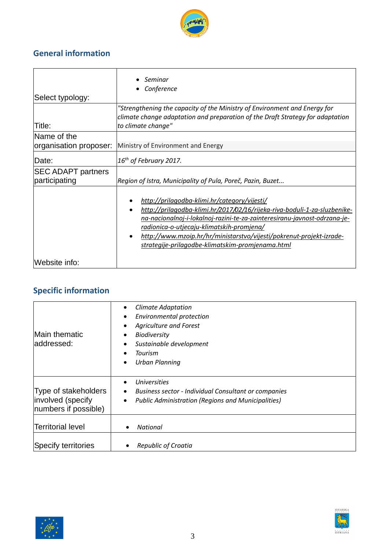

## **General information**

| Select typology:                           | Seminar<br>Conference                                                                                                                                                                                                                                                                                                                                                           |  |  |  |
|--------------------------------------------|---------------------------------------------------------------------------------------------------------------------------------------------------------------------------------------------------------------------------------------------------------------------------------------------------------------------------------------------------------------------------------|--|--|--|
| Title:                                     | "Strengthening the capacity of the Ministry of Environment and Energy for<br>climate change adaptation and preparation of the Draft Strategy for adaptation<br>to climate change"                                                                                                                                                                                               |  |  |  |
| Name of the                                |                                                                                                                                                                                                                                                                                                                                                                                 |  |  |  |
| organisation proposer:                     | Ministry of Environment and Energy                                                                                                                                                                                                                                                                                                                                              |  |  |  |
| Date:                                      | $16th$ of February 2017.                                                                                                                                                                                                                                                                                                                                                        |  |  |  |
| <b>SEC ADAPT partners</b><br>participating | Region of Istra, Municipality of Pula, Poreč, Pazin, Buzet                                                                                                                                                                                                                                                                                                                      |  |  |  |
|                                            | http://prilagodba-klimi.hr/category/vijesti/<br>http://prilagodba-klimi.hr/2017/02/16/rijeka-riva-boduli-1-za-sluzbenike-<br>na-nacionalnoj-i-lokalnoj-razini-te-za-zainteresiranu-javnost-odrzana-je-<br>radionica-o-utjecaju-klimatskih-promjena/<br>http://www.mzoip.hr/hr/ministarstvo/vijesti/pokrenut-projekt-izrade-<br>strategije-prilagodbe-klimatskim-promjenama.html |  |  |  |
| Website info:                              |                                                                                                                                                                                                                                                                                                                                                                                 |  |  |  |

## **Specific information**

| Main thematic<br>addressed:                                       | <b>Climate Adaptation</b><br>$\bullet$<br>Environmental protection<br>$\bullet$<br><b>Agriculture and Forest</b><br>$\bullet$<br><b>Biodiversity</b><br>٠<br>Sustainable development<br>$\bullet$<br>Tourism<br>$\bullet$<br><b>Urban Planning</b><br>$\bullet$ |
|-------------------------------------------------------------------|-----------------------------------------------------------------------------------------------------------------------------------------------------------------------------------------------------------------------------------------------------------------|
| Type of stakeholders<br>involved (specify<br>numbers if possible) | <b>Universities</b><br>$\bullet$<br><b>Business sector - Individual Consultant or companies</b><br>$\bullet$<br><b>Public Administration (Regions and Municipalities)</b><br>$\bullet$                                                                          |
| <b>Territorial level</b>                                          | National                                                                                                                                                                                                                                                        |
| <b>Specify territories</b>                                        | <b>Republic of Croatia</b>                                                                                                                                                                                                                                      |



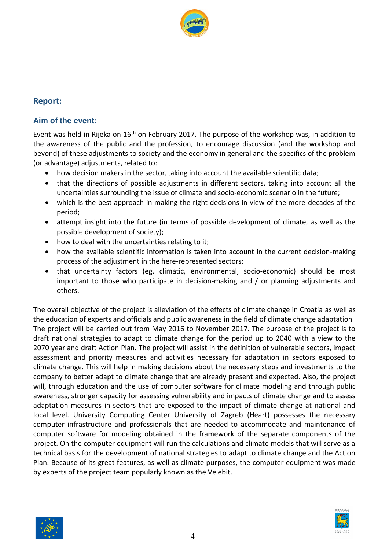

#### **Report:**

#### **Aim of the event:**

Event was held in Rijeka on  $16<sup>th</sup>$  on February 2017. The purpose of the workshop was, in addition to the awareness of the public and the profession, to encourage discussion (and the workshop and beyond) of these adjustments to society and the economy in general and the specifics of the problem (or advantage) adjustments, related to:

- how decision makers in the sector, taking into account the available scientific data;
- that the directions of possible adjustments in different sectors, taking into account all the uncertainties surrounding the issue of climate and socio-economic scenario in the future;
- which is the best approach in making the right decisions in view of the more-decades of the period;
- attempt insight into the future (in terms of possible development of climate, as well as the possible development of society);
- how to deal with the uncertainties relating to it;
- how the available scientific information is taken into account in the current decision-making process of the adjustment in the here-represented sectors;
- that uncertainty factors (eg. climatic, environmental, socio-economic) should be most important to those who participate in decision-making and / or planning adjustments and others.

The overall objective of the project is alleviation of the effects of climate change in Croatia as well as the education of experts and officials and public awareness in the field of climate change adaptation The project will be carried out from May 2016 to November 2017. The purpose of the project is to draft national strategies to adapt to climate change for the period up to 2040 with a view to the 2070 year and draft Action Plan. The project will assist in the definition of vulnerable sectors, impact assessment and priority measures and activities necessary for adaptation in sectors exposed to climate change. This will help in making decisions about the necessary steps and investments to the company to better adapt to climate change that are already present and expected. Also, the project will, through education and the use of computer software for climate modeling and through public awareness, stronger capacity for assessing vulnerability and impacts of climate change and to assess adaptation measures in sectors that are exposed to the impact of climate change at national and local level. University Computing Center University of Zagreb (Heart) possesses the necessary computer infrastructure and professionals that are needed to accommodate and maintenance of computer software for modeling obtained in the framework of the separate components of the project. On the computer equipment will run the calculations and climate models that will serve as a technical basis for the development of national strategies to adapt to climate change and the Action Plan. Because of its great features, as well as climate purposes, the computer equipment was made by experts of the project team popularly known as the Velebit.



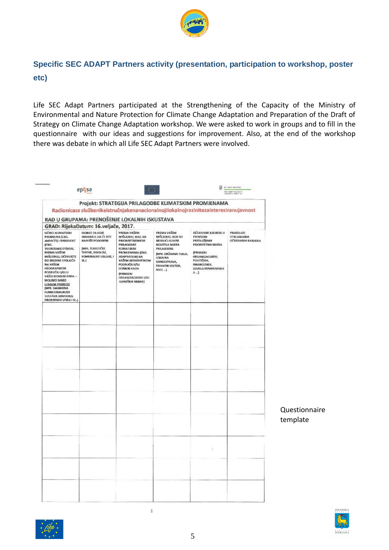

### **Specific SEC ADAPT Partners activity (presentation, participation to workshop, poster etc)**

Life SEC Adapt Partners participated at the Strengthening of the Capacity of the Ministry of Environmental and Nature Protection for Climate Change Adaptation and Preparation of the Draft of Strategy on Climate Change Adaptation workshop. We were asked to work in groups and to fill in the questionnaire with our ideas and suggestions for improvement. Also, at the end of the workshop there was debate in which all Life SEC Adapt Partners were involved.

|                                                                                                                                                                                                                                                                                                                                                                                         | RAD U GRUPAMA: PRENOŠENJE LOKALNIH ISKUSTAVA                                                                                                        |                                                                                                                                                                                                                                                |                                                                                                                                                                          | Projekt: STRATEGIJA PRILAGODBE KLIMATSKIM PROMJENAMA<br>Radionicaza službenikeistručnjakenanacionalnojilokalnojrazinitezainteresiranujavnost                                    |                                                       |
|-----------------------------------------------------------------------------------------------------------------------------------------------------------------------------------------------------------------------------------------------------------------------------------------------------------------------------------------------------------------------------------------|-----------------------------------------------------------------------------------------------------------------------------------------------------|------------------------------------------------------------------------------------------------------------------------------------------------------------------------------------------------------------------------------------------------|--------------------------------------------------------------------------------------------------------------------------------------------------------------------------|---------------------------------------------------------------------------------------------------------------------------------------------------------------------------------|-------------------------------------------------------|
|                                                                                                                                                                                                                                                                                                                                                                                         | GRAD: RijekaDatum: 16.veljače, 2017.                                                                                                                |                                                                                                                                                                                                                                                |                                                                                                                                                                          |                                                                                                                                                                                 |                                                       |
| UČINCI KLIMATSKIH<br>PROMIENA (LNG.<br><b>IMPACTSJ I RANIIVOST</b><br>(ENG.<br><b>VULNERABILITY KOIL,</b><br>PREMA VAŠEM<br>MIŠLIENJU, OČEKUJETE<br>DO SREDINE STOLIEĆA<br>NA VAŠEM<br><b>GEOGRAPSKOM</b><br>PODRUČKI I/ILI U<br>VAŠOJ DOMENI RADA -<br>MOLIMO SAMO<br><b>LOKALNI PRIMJERI</b><br>(NPR. SMANJENA<br><b>FUNKCIONALNOST</b><br>SHSTAVA ODVODNJE<br>DBORINSKIH VODA I SL.] | DIONICI ZA KOJE<br>SMATRATE DA ĆE BITI<br>NAIVISE POGOĐENI<br><b>INPR. TURISTIČKE</b><br>TVRTKE, RIBOLOV,<br>KOMUNALNE USLUGE, I<br>SL <sub>2</sub> | PREMA VAŠEM<br>MISLIENJU, KOJE SU<br>PRIORITETNEMIERE<br>PRILAGODBE<br>KUMATSKIM<br>PROMJENAMA (ENG.<br>ADAPTATION) NA<br>VAŠEM GEOGRAFSKOM<br>PODRUČIU I/ILI<br>DOMENI RADA<br><b>OPRIMAJERI</b><br>ORGANIZACIJSKIH I/ILI<br>TEHNIČKIH MIERA) | PREMA VAŠEM<br>MISLIENJU, KOJI SU<br>MOGLICI GLAVNI<br>NOSITILII MJERA<br>PRILAGODBE<br>(NPR. DRŽAVNA TIJELA,<br>LOKAINA<br>SAMOUPRAVA,<br>PRIVATMI SEKTOR,<br>$NVD$ , } | OČEKIVANE BARUERE LI<br><b>PROVEDBI</b><br>PREDI OZEMIH<br>PRIORITETNIH MJERA<br>(PRIMJER)<br>ORGANIZACUSKIH,<br>РОЦПСКІН,<br><b>FINANCUSKIH,</b><br>LEGISLA ITVNIHBARIJER<br>A | <b>PRUEDLOZI</b><br>OTKLANIANIA<br>OČEKOVANIH BARUERA |
|                                                                                                                                                                                                                                                                                                                                                                                         |                                                                                                                                                     |                                                                                                                                                                                                                                                |                                                                                                                                                                          |                                                                                                                                                                                 |                                                       |
|                                                                                                                                                                                                                                                                                                                                                                                         |                                                                                                                                                     |                                                                                                                                                                                                                                                |                                                                                                                                                                          |                                                                                                                                                                                 |                                                       |
|                                                                                                                                                                                                                                                                                                                                                                                         |                                                                                                                                                     |                                                                                                                                                                                                                                                |                                                                                                                                                                          |                                                                                                                                                                                 |                                                       |
|                                                                                                                                                                                                                                                                                                                                                                                         |                                                                                                                                                     |                                                                                                                                                                                                                                                |                                                                                                                                                                          |                                                                                                                                                                                 |                                                       |
|                                                                                                                                                                                                                                                                                                                                                                                         |                                                                                                                                                     |                                                                                                                                                                                                                                                |                                                                                                                                                                          |                                                                                                                                                                                 |                                                       |
|                                                                                                                                                                                                                                                                                                                                                                                         |                                                                                                                                                     |                                                                                                                                                                                                                                                |                                                                                                                                                                          |                                                                                                                                                                                 |                                                       |
|                                                                                                                                                                                                                                                                                                                                                                                         |                                                                                                                                                     |                                                                                                                                                                                                                                                |                                                                                                                                                                          |                                                                                                                                                                                 |                                                       |
|                                                                                                                                                                                                                                                                                                                                                                                         |                                                                                                                                                     |                                                                                                                                                                                                                                                |                                                                                                                                                                          |                                                                                                                                                                                 |                                                       |
|                                                                                                                                                                                                                                                                                                                                                                                         |                                                                                                                                                     |                                                                                                                                                                                                                                                |                                                                                                                                                                          |                                                                                                                                                                                 |                                                       |
|                                                                                                                                                                                                                                                                                                                                                                                         |                                                                                                                                                     |                                                                                                                                                                                                                                                |                                                                                                                                                                          |                                                                                                                                                                                 |                                                       |
|                                                                                                                                                                                                                                                                                                                                                                                         |                                                                                                                                                     |                                                                                                                                                                                                                                                |                                                                                                                                                                          |                                                                                                                                                                                 |                                                       |
|                                                                                                                                                                                                                                                                                                                                                                                         |                                                                                                                                                     |                                                                                                                                                                                                                                                |                                                                                                                                                                          |                                                                                                                                                                                 |                                                       |
|                                                                                                                                                                                                                                                                                                                                                                                         |                                                                                                                                                     |                                                                                                                                                                                                                                                |                                                                                                                                                                          |                                                                                                                                                                                 |                                                       |
|                                                                                                                                                                                                                                                                                                                                                                                         |                                                                                                                                                     |                                                                                                                                                                                                                                                |                                                                                                                                                                          |                                                                                                                                                                                 |                                                       |
|                                                                                                                                                                                                                                                                                                                                                                                         |                                                                                                                                                     |                                                                                                                                                                                                                                                |                                                                                                                                                                          |                                                                                                                                                                                 |                                                       |
|                                                                                                                                                                                                                                                                                                                                                                                         |                                                                                                                                                     |                                                                                                                                                                                                                                                |                                                                                                                                                                          | Ъ                                                                                                                                                                               |                                                       |
|                                                                                                                                                                                                                                                                                                                                                                                         |                                                                                                                                                     |                                                                                                                                                                                                                                                |                                                                                                                                                                          |                                                                                                                                                                                 |                                                       |
|                                                                                                                                                                                                                                                                                                                                                                                         |                                                                                                                                                     |                                                                                                                                                                                                                                                |                                                                                                                                                                          |                                                                                                                                                                                 |                                                       |
|                                                                                                                                                                                                                                                                                                                                                                                         |                                                                                                                                                     |                                                                                                                                                                                                                                                |                                                                                                                                                                          |                                                                                                                                                                                 |                                                       |
|                                                                                                                                                                                                                                                                                                                                                                                         |                                                                                                                                                     |                                                                                                                                                                                                                                                |                                                                                                                                                                          |                                                                                                                                                                                 |                                                       |
|                                                                                                                                                                                                                                                                                                                                                                                         |                                                                                                                                                     |                                                                                                                                                                                                                                                |                                                                                                                                                                          |                                                                                                                                                                                 |                                                       |

 $\mathbbm{1}$ 

Questionnaire template